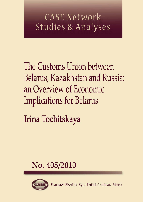# **CASE Network Studies & Analyses**

The Customs Union between Belarus, Kazakhstan and Russia: an Overview of Economic **Implications for Belarus** 

Irina Tochitskaya

## No. 405/2010



Warsaw Bishkek Kyiv Tbilisi Chisinau Minsk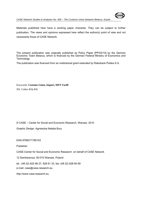

Materials published here have a working paper character. They can be subject to further publication. The views and opinions expressed here reflect the author(s) point of view and not necessarily those of CASE Network.

The present publication was originally published as Policy Paper [PP/02/10] by the German Economic Team Belarus, which is financed by the German Federal Ministry of Economics and Technology.

The publication was financed from an institutional grant extended by Rabobank Polska S.A.

Keywords: **Customs Union, Import, MFN Tariff**  JEL Codes**: F13, F15** 

© CASE – Center for Social and Economic Research, Warsaw, 2010

Graphic Design: Agnieszka Natalia Bury

EAN 9788371785153

Publisher:

CASE-Center for Social and Economic Research on behalf of CASE Network

12 Sienkiewicza, 00-010 Warsaw, Poland

tel.: (48 22) 622 66 27, 828 61 33, fax: (48 22) 828 60 69

e-mail: case@case-research.eu

http://www.case-research.eu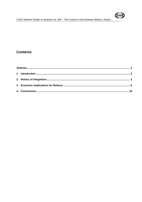

## **Contents**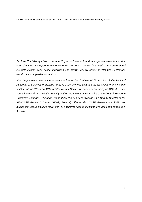*Dr. Irina Tochitskaya has more than 20 years of research and management experience. Irina earned her Ph.D. Degree in Macroeconomics and M.Sc. Degree in Statistics. Her professional interests include trade policy, innovation and growth, energy sector development, enterprise development, applied econometrics.* 

*Irina began her career as a research fellow at the Institute of Economics of the National Academy of Sciences of Belarus. In 1999-2000 she was awarded the fellowship of the Kennan Institute of the Woodrow Wilson International Center for Scholars (Washington DC), then she spent five month as a Visiting Faculty at the Department of Economics at the Central European University (Budapest, Hungary). Since 2003 she has been working as a Deputy Director of the IPM-CASE Research Center (Minsk, Belarus). She is also CASE Fellow since 2009. Her publication record includes more than 40 academic papers, including one book and chapters in 3 books.*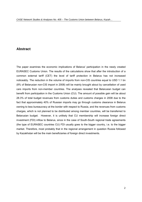### **Abstract**

The paper examines the economic implications of Belarus' participation in the newly created EURASEC Customs Union. The results of the calculations show that after the introduction of a common external tariff (CET) the level of tariff protection in Belarus has not increased noticeably. The reduction in the volume of imports from non-CIS countries equal to USD 1.1 bn (8% of Belarusian non-CIS import in 2008) will be mainly brought about by cancellation of used cars imports from non-member countries. The analyses revealed that Belarusian budget can benefit from participation in the Customs Union (CU). The amount of possible gain will be about 28.3% of total budget revenues from customs duties and customs charges in 2008 due to the fact that approximately 40% of Russian imports may go through customs clearance in Belarus owning to less bureaucracy at the border with respect to Russia, and the revenues from customs charges, which is not planned to be distributed among member countries, will be transferred to Belarusian budget. However, it is unlikely that CU membership will increase foreign direct investment (FDI) inflow to Belarus, since in the case of South-South regional trade agreements (the type of EURASEC countries CU) FDI usually goes to the bigger country, i.e. to the bigger market. Therefore, most probably that in the regional arrangement in question Russia followed by Kazakhstan will be the main beneficiaries of foreign direct investments.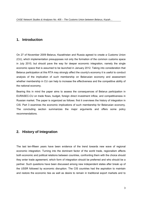## **1. Introduction**

On 27 of November 2009 Belarus, Kazakhstan and Russia agreed to create a Customs Union (CU), which implementation presupposes not only the formation of the common customs space in July 2010, but should pave the way for deeper economic integration, namely the single economic space that is assumed to be launched in January 2012. Taking into consideration that Belarus participation at this RTA may strongly affect the county's economy it is useful to conduct analysis of the implication of such membership on Belarusian economy and assessment whether membership in CU can help to increase the effectiveness and the competitive ability of the national economy.

Bearing this in mind the paper aims to assess the consequences of Belarus participation in EURASEC-CU on trade flows, budget, foreign direct investment inflow, and competitiveness in Russian market. The paper is organized as follows: first it overviews the history of integration in CIS. Part 3 examines the economic implications of such membership for Belarusian economy. The concluding section summarizes the major arguments and offers some policy recommendations.

## **2. History of Integration**

The last ten-fifteen years have been evidence of the trend towards new wave of regional economic integration. Turning into the dominant factor of the world trade, regionalism affects both economic and political relations between countries, confronting them with the choice should they enter trade agreement, which form of integration should be preferred and who should be a partner. Such questions have been discussed among new independent states after break up of the USSR followed by economic disruption. The CIS countries had the aspiration to maintain and restore the economic ties as well as desire to remain in traditional export markets and to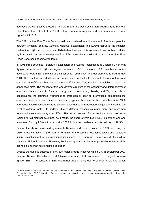decrease the competitive pressure from the rest of the world using high external trade barriers. Therefore in the first half of the 1990s a large number of regional trade agreements have been signed within CIS.

The CIS counties *Free Trade Zone* should be considered as a first attempt of trade cooperation between Armenia, Belarus, Georgia, Moldova, Kazakhstan, the Kyrgyz Republic, the Russian Federation, Tajikistan, Ukraine, and Uzbekistan. However, this agreement has not been ratified by Russia, who asked for exemptions from FTA (particularly on oil and gas), and therefore Free Trade Zone has not come into force.

In 1995 three countries - Belarus, Kazakhstan and Russia - established a Customs Union that Kyrgyz Republic and Tajikistan agreed to join in 1996.<sup>1</sup> In October 2000 member countries decided to reorganize it into Eurasian Economic Community. This decision was ratified in May 2001. The countries intended to set a common external tariff with respect to the rest of the world countries (non CIS) and harmonize the non-tariff barriers. Yet, member states failed to reach the announced aims. The reason for this was diverse structure of the economy and different level of economic development in Belarus, Kyrgyzstan, Kazakhstan, Russia, and Tajikistan. As a consequence the countries' willingness to protection or open to international competition the economic sectors did not coincide. Besides Kyrgyzstan has been a WTO member since 1990 and hence should conduct its trade policy in accordance with accepted obligations, including the level of external tariff. In addition, due to different reasons countries more and more has reoriented their trade away from RTA. This led to excess of extra-regional trade over intraregional for all member countries, as a result, the share of intra EURASEC exports shrank and accounted for only 9.5% in total export in 2008, in its turn intra-block imports reduced to 18.5%.

Beyond the above mentioned agreements Russian and Belarus signed in 1999 the Treaty on Union State Formation, it provided for formation of the common economic space and monetary union, establishment of supranational institutions, i.e. Supreme State Council, Council of Ministers, Union Parliament. However, this Union appeared to be more political oriented as all its economic undertakings remained on paper.

Despite the dubious success of previous regional trade initiatives within CIS in September 2003 Belarus, Russia, Kazakhstan, and Ukraine concluded draft agreement on Single Economic Space (SES). The concept of SES was rather vague mainly due to position of Ukraine, which

<sup>&</sup>lt;sup>1</sup> Some other RTAs were created by CIS countries in the Central Asia and Caucuses (GUUAM, Central Asian Economic Union (CAEU), but since Belarus has not participated in these regional agreements we do not consider them in this paper.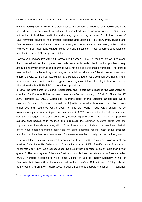avoided participation in RTAs that presupposed the creation of supranational bodies and went beyond free trade agreement. In addition Ukraine introduces the proviso clause that SES must not contradict Ukrainian constitution and strategic goal of integration into EU. In the process of SES formation countries had different positions and visions of this RTA, thus, Russia and Belarus wanted to introduce a common currency and to form a customs union, while Ukraine insisted on free trade zone without exceptions and limitations. These apparent contradictions resulted in failure of SES regional initiative.

New wave of regionalism within CIS arose in 2007 when EURASEC member states understood that it remained an incomplete free trade zone with trade discrimination problems (e.g. antidumping investigations) and countries were not able to settle their differences. Therefore it was decided to implement regional integration initiatives within this RTA at diverse speed and different levels, i.e. Belarus, Kazakhstan and Russia planed to set a common external tariff and to create a customs union, while Kyrgyzstan and Tajikistan intended to stay in free trade zone. Alongside with that EURASEC has remained operational.

In 2009 the presidents of Belarus, Kazakhstan and Russia have reached the agreement on creation of a Customs Union that was come into effect on January 1, 2010. On November 27 2009 Interstate EURASEC Committee (supreme body of the Customs Union) approve a Customs Code and Common External Tariff (unified external duty rates). In addition it was announced that countries would seek to joint the World Trade Organization (WTO) simultaneously and form a single economic space in 2012. Undoubtedly, the fact that member countries managed to get over controversy concerning type of RTA, its functioning, possible supranational bodies, tariff regimes and introduced the common customs tariffs was the important step towards real integration of the three countries. It should be mentioned that all efforts have been undertaken earlier did not bring desirable results, most of all, because member countries (bar from Belarus and Russia) were reluctant to unify national tariff regimes.

The import tariffs unification before the creation of the EURASEC Customs Union was at the level of 65%, herewith, Belarus and Russia harmonized 95% of tariffs, while Russia and Kazakhstan only 38% (as a consequence the country have to raise tariffs on more than 5,000 goods).<sup>2</sup> The tariff regime of the new Customs Union is based substantially on Russian duties (92%). Therefore according to Vice Prime Minister of Belarus Andrey Kobjakov, 74.6% of Belarusian tariff lines will be the same as before the EURASEC CU, tariffs on 18.7% goods will be increase, and on 6.7% - decreased. In addition countries adopted the list of 1141 sensitive

<sup>2</sup> http://www.government.by/en/eng\_dayevents20091204.html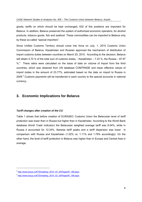goods, tariffs on which should be kept unchanged, 632 of this positions are important for Belarus. In addition, Belarus preserved the system of authorized economic operators, for alcohol products, tobacco goods, fish and seafood. These commodities can be imported to Belarus only by these so-called "special importers".

Since Unified Customs Territory should come into force on July, 1, 2010 Customs Union Commission of Belarus, Kazakhstan and Russian approved the mechanism of distribution of import customs duties between countries on March 25, 2010. According to the decision, Belarus will obtain 4.70 % of the total sum of customs duties, - Kazakhstan - 7.33 %, the Russia - 87.97  $%$ <sup>3</sup> There ratios were calculated on the basis of data on volume of import from the third countries, which was obtained from UN database COMTRADE and mean effective values of import duties in the amount of 23.77%, estimated based on the data on import to Russia in 2009.<sup>4</sup> Customs payments will be transferred in each country to the special accounts in national currency.

## **3. Economic Implications for Belarus**

#### *Tariff changes after creation of the CU*

Table 1 shows that before creation of EURASEC Customs Union the Belarusian level of tariff protection was lower than in Russia but higher than in Kazakhstan. According to the World Bank database *World Trade Indicators* the Belarusian weighted average tariff was 8.04%, while in Russia it accounted for 12.34%, likewise tariff peaks and a tariff dispersion was lower in comparison with Russia and Kazakhstan (1.02% vs. 1.11% and 1.79% accordingly). On the other hand, the level of tariff protection in Belarus was higher than in Europe and Central Asia in average.

 $\overline{a}$ 

<sup>&</sup>lt;sup>3</sup> http://www.tsouz.ru/KTS/meeting\_2010\_03\_25/Pages/R\_199.aspx

<sup>4</sup> http://www.tsouz.ru/KTS/meeting\_2010\_03\_25/Pages/R\_199.aspx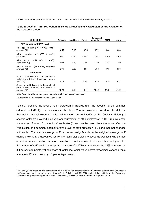| 2006-2009                                                                                               | <b>Belarus</b> | Kazakhstan | Russia | <b>Europe and</b><br><b>Central Asia</b> | <b>EU27</b> | world |
|---------------------------------------------------------------------------------------------------------|----------------|------------|--------|------------------------------------------|-------------|-------|
| MFN applied tariff $(AV + AVE)$                                                                         |                |            |        |                                          |             |       |
| MFN applied tariff $(AV + AVE)$ , simple<br>average $(\%)$                                              | 10.77          | 6.16       | 10.75  | 6.72                                     | 5.46        | 9.54  |
| <b>MFN</b><br>tariff<br>(AV<br>applied<br>AVE),<br>$+$<br>maximum                                       | 396.3          | 475.2      | 425.4  | 239.2                                    | 228.8       | 226.6 |
| (AV<br><b>MFN</b><br>tariff<br>AVE),<br>applied<br>$+$<br>dispersion $(\%)$                             | 1.02           | 1.79       | 1.11   | 1.79                                     | 1.97        | 1.80  |
| MFN applied tariff $(AV + AVE)$ , weighted<br>average $(\%)$                                            | 8.04           | 5.06       | 12.34  | 5.86                                     | 3.15        | 8.53  |
| <b>Tariff peaks</b>                                                                                     |                |            |        |                                          |             |       |
| Share of tariff lines with domestic peaks<br>(value above 3 times the simple average)<br>tariff) $(\%)$ | 1.78           | 6.54       | 3.23   | 8.38                                     | 9.79        | 6.11  |
| Share of tariff lines with international<br>peaks (applied tariff rates that exceed 15<br>percent) (%)  | 18.15          | 7.19       | 19.11  | 10.25                                    | 11.10       | 21.73 |

#### **Table 1: Level of Tariff Protection in Belarus, Russia and Kazakhstan before Creation of the Customs Union**

Note: \* AV - ad valorem tariff, AVE - specific tariff in ad valorem equivalent

*Source:* World Trade Indicators, the World Bank

Table 2, presents the level of tariff protection in Belarus after the adoption of the common external tariff (CET). The indicators in the Table 2 were calculated based on the data on Belarusian national external tariffs and common external tariffs of the Customs Union (all specific tariffs are provided in ad valorem equivalents) at 10-dighit level of TN BED (equivalent to Harmonized System Commodity Classification)<sup>5</sup>. As can be seen from the table after the introduction of a common external tariff the level of tariff protection in Belarus has not changed noticeably. The simple average tariff decreased insignificantly, while weighted average tariff slightly grew up and accounted for 10.34%, tariff dispersion increased as well testifying the rise of tariff schedule variation and more deviation of customs rates from mean. After setup of CET the number of tariff peaks grew up, as the share of tariff lines that exceeded 15% increased by 3.4 percentage points, yet, the share of tariff lines, which value above three times exceed simple average tariff went down by 1.2 percentage points.

<sup>&</sup>lt;sup>5</sup> For analysis is based on the computation of the Belarusian external tariff and Common external tariff (all specific tariffs are provided in ad valorem equivalents) at 10-dighit level TN BED made at the Institute for the Econoy in Transition. Weighted average tariff was calculated using the UN COMTRADE data on imports in 2008.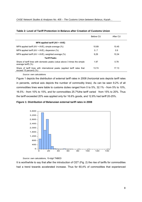|                                                                                                         | Before CU | After CU |
|---------------------------------------------------------------------------------------------------------|-----------|----------|
| MFN applied tariff $(AV + AVE)$                                                                         |           |          |
| MFN applied tariff $(AV + AVE)$ , simple average $(\%)$                                                 | 10.89     | 10.45    |
| MFN applied tariff $(AV + AVE)$ , dispersion $(\%)$                                                     | 0.7       | 0.9      |
| MFN applied tariff $(AV + AVE)$ , weighted average $(\%)$                                               | 9.29      | 10.34    |
| <b>Tariff Peaks</b>                                                                                     |           |          |
| Share of tariff lines with domestic peaks (value above 3 times the simple<br>average tariff) $(\% )$    | 1.97      | 0.78     |
| Share of tariff lines with international peaks (applied tariff rates that<br>exceed 15 percent) $(\% )$ | 13.74     | 17.13    |
|                                                                                                         |           |          |

#### **Table 2: Level of Tariff Protection in Belarus after Creation of Customs Union**

*Source:* own calculations

Figure 1 depicts the distribution of external tariff rates in 2008 (horizontal axis depicts tariff rates in percents, vertical axis depicts the number of commodity lines). As can be seen 9.2% of all commodities lines were liable to customs duties ranged from 0 to 5%, 32.1% - from 5% to 10%, 16.5% - from 10% to 15%, and for commodities 25.7%the tariff varied from 15% to 20%. Thus the tariff exceeded 20% was applied only for 16.6% goods, and 12.8% had tariff 20-25%.





*Source*: own calculations, 10-digit TNBED

It is worthwhile to say that after the introduction of CET (Fig. 2) the rise of tariffs for commodities had a trend towards accelerated increase. Thus for 60,4% of commodities that experienced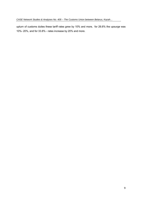upturn of customs duties these tariff rates grew by 10% and more, for 26.6% the upsurge was 10%- 20%, and for 33.8% - rates increase by 20% and more.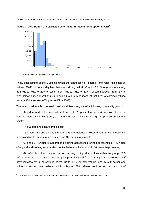

**Figure 2. Distribution of Belarusian external tariff rates after adoption of CET<sup>6</sup>**

*Source*: own calculations, 10-digit TNBED

Thus, after joining of the Customs Union the distribution of external tariff rates has been as follows: 13.6% of commodity lines have import duty set at 0-5%, for 30.8% of goods rates vary from 5% to 10%, for 20% of items - from 10% to 15%, for 22.4% of commodities - from 15% to 20%. Import duty higher than 20% is applied to 13.2% of goods, at that 1.1% of commodity lines have tariff that exceed 60% (only 0.6% in 2008)

The most considerable increase in customs duties is registered at following commodity groups:

 02 «Meat and edible meat offal» (from 10 to 20 percentage points), moreover for some specific goods within this group, e.g. «refrigerated pork» the rates grew up to 50 percentage points:;

17 «Sugars and sugar confectionery»;

 76 «Aluminum and articles thereof», e.g. the increase in external tariff at commodity line «twigs and sections from Aluminum» reach 100 percentage points.;

 61 and 62 «Articles of apparel and clothing accessories, knitted or crocheted», «Articles of apparel and clothing accessories, not knitted or crocheted» (up to 10 percentage points).;

 87 «Vehicles other than railway or tramway rolling stock», thus within subgroup 8703 «Motor cars and other motor vehicles principally designed for the transport» the external tariff have increase by 20 percentage points (up to 30%) on new vehicle, and by 500 percentage points on second hand vehicle; within subgroup 8704 «Motor vehicles for the transport of

 $^6$  horizontal axis depicts tariff rates in percents, vertical axis depicts the number of commodity lines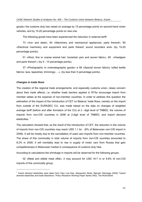goods» the customs duty has raised on average by 15 percentage points on second-hand motor vehicles, and by 15-20 percentage points on new one.

The following goods have been experienced the reduction in external tariff:

73 «Iron and steel», 84 «Machinery and mechanical appliances; parts thereof»; 85 «Electrical machinery and equipment and parts thereof; sound recorders and» (by 10-20 percentage points);

51 «Wool, fine or coarse animal hair; horsehair yarn and woven fabric», 65 «Headgear and parts thereof » (by 5 - 10 percentage points);

37 «Photographic or cinematographic goods» и 58 «Special woven fabrics; tufted textile fabrics; lace, tapestries; trimmings; ...». (by less than 5 percentage points).

#### *Changes in trade flows*

The creation of the regional trade arrangements, end especially customs union, raises concern about their trade affects, i.e. whether trade barriers applied in RTAs encourage import from member states at the expense of non-member countries. In order to address this question the estimation of the impact of the introduction of CET on Belarus' trade flows, namely on the import from outside of the EURASEC CU, was made based on the data on changes of weighted average tariff (before and after formation of the CU) at 2 –digit level of TNBED, the volume of imports from non-CIS countries in 2008 at 2-digit level of TNBED, and import demand elasticities.<sup>7</sup>

The calculation showed that, as the result of the introduction of CET, the reduction in the volume of imports from non-CIS countries may reach USD 1.1 bn (8% of Belarusian non-CIS import in 2008). It will be mostly due to the cancellation of used cars imports from non-member countries. The share of this commodity in total volume of imports from non-CIS countries amounted to 8.2% in 2008. It will inevitably lead to rise in supply of motor cars from Russia that gain competitiveness in Belarusian market in consequence of customs duty hike.

According to calculations the shrinkage in imports will be observed for the following groups:

02 «Meat and edible meat offal», it may account for USD 16.7 m or 9.8% of non-CIS imports of this commodity group;

<sup>7</sup> Import demand elasticities were taken from Hiau Looi Kee, Alessandro Nicita, Marcelo Olarreaga (2004) "Import demand elasticities and trade distortions," Policy Research Working Paper Series 3452, The World Bank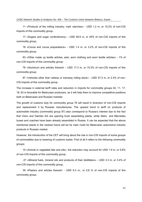11 «Products of the milling industry; malt; starches» - USD 1.2 m, or 15.2% of non-CIS imports of this commodity group;

17 «Sugars and sugar confectionery» - USD 46.6 m, or 45% of non-CIS imports of this commodity group;

18 «Cocoa and cocoa preparations» - USD 1.4 m, or 3.2% of non-CIS imports of this commodity group;

63 «Other made up textile articles; sets; worn clothing and worn textile articles» - 1% of non-CIS imports of this commodity group;

76 «Aluminum and articles thereof» - USD 17.3 m, or 15.3% of non-CIS imports of this commodity group;

87 «Vehicles other than railway or tramway rolling stock» - USD 47.3 m, or 2.3% of non-CIS imports of this commodity group.

The increase in external tariff rates and reduction in imports for commodity groups 02, 11, 17, 18, 63 is favorable for Belarusian producers, as it will help them to improve competitive positions both on Belarusian and Russian markets.

The growth of customs duty for commodity group 76 will result in diversion of non-CIS imports and replacement it by Russian manufactures. The upward trend in tariff on products of automobile industry (commodity group 87) also correspond to Russia's interest due to the fact that Volvo and Daimler AG are opening truck assembling plants, while Setra and Mercedes buses and coaches have been already assembled in Russia. It can be expected that the above mentioned plants in the nearest future will be he main rivals for Belarusian automotive industry products in Russian market.

However, the introduction of the CET will bring about the rise in non-CIS imports of some groups of commodities due to lowering of customs duties. First of all it refers to the following commodity groups:

15 «Animal or vegetable fats and oils», the reduction may account for USD 1.9 m, or 5.8% of non-CIS imports of this commodity group;

 27 «Mineral fuels, mineral oils and products of their distillation» - USD 3.3 m, or 3.4% of non-CIS imports of this commodity group;

39 «Plastics and articles thereof» - USD 6.3 m., or 0,8 % of non-CIS imports of this commodity group;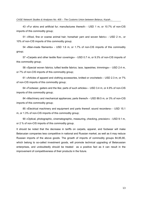43 «Fur skins and artificial fur; manufactures thereof» - USD 1 m, or 10.7% of non-CIS imports of this commodity group;

51 «Wool, fine or coarse animal hair; horsehair yarn and woven fabric» - USD 2 m., or 10% of non-CIS imports of this commodity group;

54 «Man-made filaments» - USD 1.6 m, or 1.7% of non-CIS imports of this commodity group;

57 «Carpets and other textile floor coverings» - USD 0.7 m, or 9.3% of non-CIS imports of this commodity group;

58 «Special woven fabrics; tufted textile fabrics; lace, tapestries; trimmings» - USD 2.4 m, or 7% of non-CIS imports of this commodity group;

61 «Articles of apparel and clothing accessories, knitted or crocheted» - USD 2.3 m, or 7% of non-CIS imports of this commodity group;

64 «Footwear, gaiters and the like; parts of such articles» - USD 3.4 m, or 4.9% of non-CIS imports of this commodity group;

84 «Machinery and mechanical appliances; parts thereof» - USD 89.5 m, or 3% of non-CIS imports of this commodity group;

85 «Electrical machinery and equipment and parts thereof; sound recorders» - USD 15.1 m, or 1.3% of non-CIS imports of this commodity group;

90 «Optical, photographic, cinematographic, measuring, checking, precision» - USD 9.1 m, or 2 % of non-CIS imports of this commodity group.

It should be noted that the decrease in tariffs on carpets, apparel, and footwear will make Belarusian companies less competitive in national and Russian market, as well as it may reduce Russian imports of the above goods. The growth of imports of commodity groups 84,85,90, which belong to so-called investment goods, will promote technical upgrading of Belarussian enterprises, and undoubtedly should be treated as a positive fact as it can result in the improvement of competitiveness of their products in the future.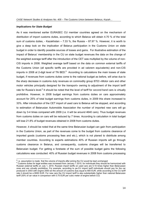#### *Implications for State Budget*

As it was mentioned earlier EURASEC CU member countries agreed on the mechanism of distribution of import customs duties, according to which Belarus will obtain 4.70 % of the total sum of customs duties,  $-$  Kazakhstan  $-$  7.33 %, the Russia  $-$  87.97 %. However, it is worth to give a deep look on the implication of Belarus participation in the Customs Union on state budget in order to identify possible sources of losses and gains. For illustrative estimation of the impact of Belarus' membership in the CU on state budget revenues the data on the change of the weighted average tariff after the introduction of the CET was multiplied by the volume of non-CIS imports in 2008. Weighted average tariff based on the data on common external tariffs of the Customs Union (all specific tariffs are provided in ad valorem equivalents) and non-CIS imports in 2008 at 2-digit level of TN BED. $^8$  According to calculations the main losses of state budget, if revenues from customs duties come to the national budget as before, will arise due to the sharp decrease in customs duty revenues on commodity group 8703 «Motor cars and other motor vehicles principally designed for the transport» owning to adjustment of the import tariff rate for Russia's level.<sup>9</sup> It should be noted that the level of tariff for *second-hand* cars is virtually prohibitive. However, in 2008 budget earnings from customs duties on cars approximately account for 25% of total budget earnings from customs duties, in 2009 this share increased to 33%. After introduction of the CET import of used cars to Belarus will be stopped, and according to estimation of Belarusian Automobile Association the number of imported new cars will go down by 3-4 times compared with 2009 (i.e. it will be around 4640 cars). Thus budget revenues from customs duties on cars will be reduced by 7 times. According to calculation in total budget will lose 21.8% of budget revenues obtained in 2008 from customs duties.

However, it should be noted that at the same time Belarusian budget can gain from participation in the Customs Union, as part of the revenues come to the budget from customs clearance of imported goods (customs processing fees and etc.), which is not planed to distribute among member countries. According to experts estimations 40% of Russian imports will go through customs clearance in Belarus, and consequently, customs charges will be transferred to Belarusian budget. For getting a foretaste of the sum of possible budget gains the following calculations was conducted: 40% of Russian budget revenues in 2008 from customs processing

<sup>&</sup>lt;sup>8</sup> i.e. assumption is made that the volume of imports after joining the CU would be kept unchanged<br><sup>9</sup> Cuptoms duties for least entities was increased from January 1,2010, for individuals they should be

<sup>&</sup>lt;sup>9</sup> Customs duties for legal entities was increased from January 1 2010, for individuals they should be harmonized with Russian external tariffs on July 1, 2010. Russian import tariffs on used cars are 5-10 times higher than Belarussian ones and are virtually prohibitive. For example, according to pe-CU import tariff individuals should pay for the car produced in 2003 with engine 2000 м3 the amount of customs duty equal to 800 EUR, while according to the CU tariff rate it should be а 8000 EUR. For new cars the CU import tariff is also substantially higher than national Belarusian tariff (30% of car value in comparison with 0.75 EUR per cubic meter of engine before CU)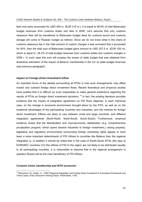fees only were accounted for USD 455 m. (EUR 310 m.), it is equal to 56.6% of total Belarusian budget revenues from customs duties and fees in 2008. Let's assume that only customs clearance fees will be transferred to Belarusian budget (fees for customs escort and customs storage will come to Russian budget as before). Since we do not know what is the share of customs clearance fee in the total amount of custom charges it was surmised that it accounted for 50%, then the total sum of Belarusian budget gains amount to USD 227.5 m. (EUR 155 m), which is equal to 28.3% of total budget revenues from customs duties and customs charges in 2008 г. In such case this sum will surpass the losses of state budget that was obtained from illustrative estimation of the impact of Belarus' membership in the CU on state budget revenues (see previous paragraph).

#### *Impact on Foreign Direct Investment inflow*

An important focus of the debate surrounding all RTAs is how such arrangements may affect inward and outward foreign direct investment flows. Recent theoretical and empirical studies have posited that it is difficult (or even impossible) to make general predictions regarding the results of RTAs on foreign direct investment decisions.<sup>10</sup> In fact, the existing literature provides evidence that the impact of integration agreement on FDI flows depends, in each individual case, on the change in economic environment brought about by the RTA, as well as on the locational advantages of the participating countries and industries, and the motives for foreign direct investment. Effects are likely to vary between small and large countries, and different integration agreements (North-North, North-South, South-South). Furthermore, empirical evidence shows that the liberalization and macroeconomic stabilization (e.g. comprehensive privatization program, which opens several industries to foreign investment.), strong property, legislative and regulatory environments surrounding foreign ownership rights appear to have been a more important determinants of FDI inflows to countries like Belarus than the regional integration is. In addition it should be noted that in the case of South-South RTAs (the type of EURASEC countries CU) the inflows of FDI to the region are not likely to be distributed equally to all participating countries. It is reasonable to assume that in the regional arrangement in question Russia will be the main beneficiary of FDI inflows.

#### *Customs Union membership and WTO accession*

ŧ <sup>10</sup> Blomstrom, M., Kokko, A., (1997) Regional Integration and Foreign Direct Investment A Conceptual Framework and Three Cases, *Policy Research Working Paper,* World Bank, 1750.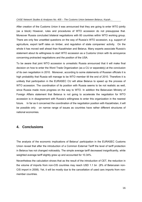After creation of the Customs Union it was announced that they are going to enter WTO jointly (as a block) However, rules and procedures of WTO accession do not presuppose that. Moreover Russia concluded bilateral negotiations with 60 countries within WTO working group. There are only few unsettled questions on the way of Russia's WTO accession, e.g. support of agriculture, export tariff rates on timber, and regulation of state companies' activity. On the whole it has moved well ahead than Kazakhstan and Belarus. Many experts associate Russia's statement about its willingness to start WTO accession as a Customs Union with its annoyance concerning protracted negotiations and the position of the USA.

To be aware that joint WTO accession is unrealistic Russia announced that it will make final decision on how to enter the Word Trade Organization (as a CU or separately) at the conclusion of its own negotiation in 2010. Moreover, according to some statements of Russian officials it is high probability that Russia will manage to be WTO member till the end of 2010. Therefore it is unlikely that participation in the EURASEC CU will allow Belarus to speed up the process of WTO accession. The coordination of its position with Russia seems to be not realistic as well, since Russia made more progress on the way to WTO. In addition the Belarusian Ministry of Foreign Affairs statement that Belarus is not going to accelerate the negotiation for WTO accession is in disagreement with Russia's willingness to enter this organization in the nearest future. In far as it concerned the coordination of the negotiation position with Kazakhstan, it will be possible only on narrow range of issues as countries have rather different structures of national economies.

### **4. Conclusions**

The analysis of the economic implications of Belarus' participation in the EURASEC Customs Union reveal that after the introduction of a Common External Tariff the level of tariff protection in Belarus has not changed noticeably. The simple average tariff decreased insignificantly, while weighted average tariff slightly grew up and accounted for 10.34%.

Nevertheless the calculation shows that as the result of the introduction of CET, the reduction in the volume of imports from non-CIS countries may reach USD 1.1 bn (8% of Belarusian non-CIS import in 2008). Yet, it will be mostly due to the cancellation of used cars imports from nonmember countries.